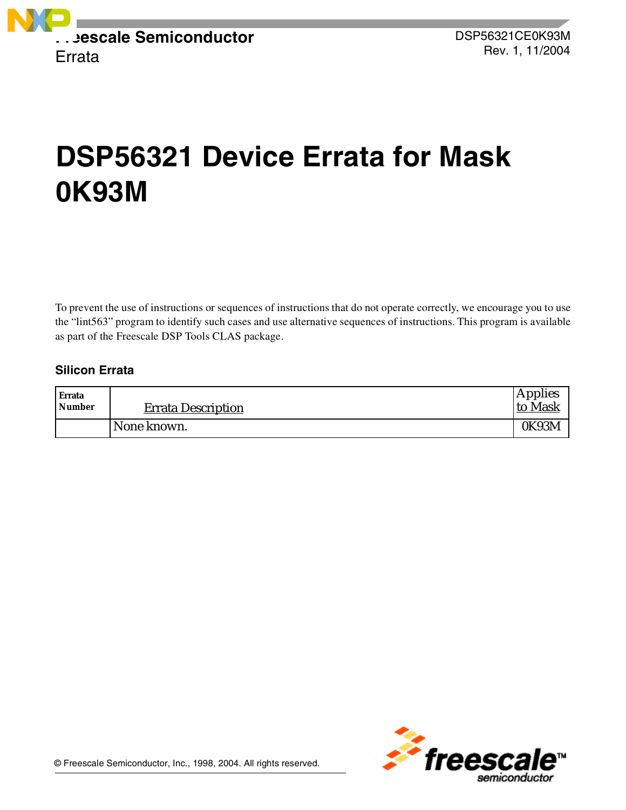

# **DSP56321 Device Errata for Mask 0K93M**

To prevent the use of instructions or sequences of instructions that do not operate correctly, we encourage you to use the "lint563" program to identify such cases and use alternative sequences of instructions. This program is available as part of the Freescale DSP Tools CLAS package.

### **Silicon Errata**

| <b>Errata</b><br><b>Number</b> | <b>Errata Description</b> | Applies<br>to Mask |
|--------------------------------|---------------------------|--------------------|
|                                | None known.               | 0K93M              |

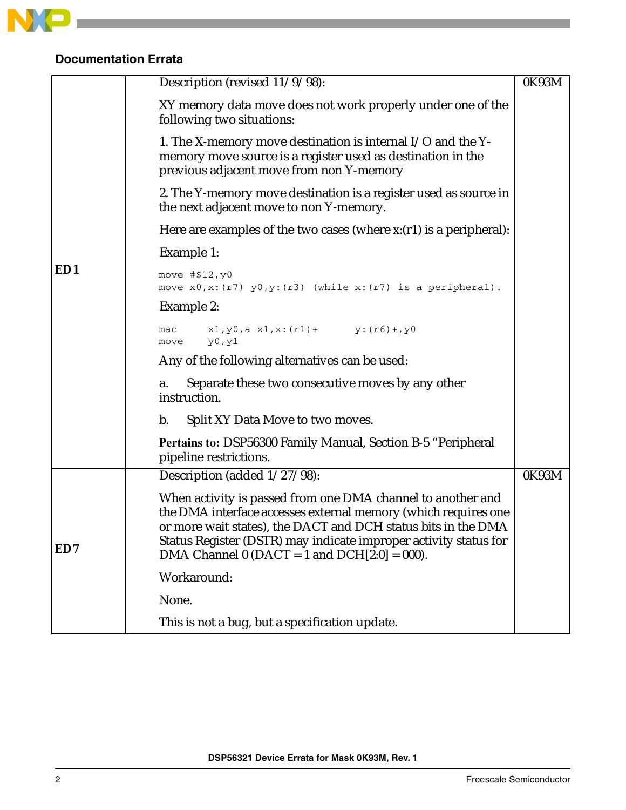

# **Documentation Errata**

|     | Description (revised 11/9/98):                                                                                                                                                                                                                                                                                         | 0K93M |
|-----|------------------------------------------------------------------------------------------------------------------------------------------------------------------------------------------------------------------------------------------------------------------------------------------------------------------------|-------|
|     | XY memory data move does not work properly under one of the<br>following two situations:                                                                                                                                                                                                                               |       |
|     | 1. The X-memory move destination is internal $I/O$ and the Y-<br>memory move source is a register used as destination in the<br>previous adjacent move from non Y-memory                                                                                                                                               |       |
|     | 2. The Y-memory move destination is a register used as source in<br>the next adjacent move to non Y-memory.                                                                                                                                                                                                            |       |
|     | Here are examples of the two cases (where $x:(r1)$ is a peripheral):                                                                                                                                                                                                                                                   |       |
|     | Example 1:                                                                                                                                                                                                                                                                                                             |       |
| ED1 | move $# $12, y0$<br>move $x0, x: (r7)$ $y0, y: (r3)$ (while $x: (r7)$ is a peripheral).                                                                                                                                                                                                                                |       |
|     | Example 2:                                                                                                                                                                                                                                                                                                             |       |
|     | $x1, y0, a x1, x: (r1) + y: (r6) + y0$<br>mac<br>y0, y1<br>move                                                                                                                                                                                                                                                        |       |
|     | Any of the following alternatives can be used:                                                                                                                                                                                                                                                                         |       |
|     | Separate these two consecutive moves by any other<br>a.<br>instruction.                                                                                                                                                                                                                                                |       |
|     | b.<br>Split XY Data Move to two moves.                                                                                                                                                                                                                                                                                 |       |
|     | <b>Pertains to: DSP56300 Family Manual, Section B-5 "Peripheral</b><br>pipeline restrictions.                                                                                                                                                                                                                          |       |
|     | Description (added 1/27/98):                                                                                                                                                                                                                                                                                           | 0K93M |
| ED7 | When activity is passed from one DMA channel to another and<br>the DMA interface accesses external memory (which requires one<br>or more wait states), the DACT and DCH status bits in the DMA<br>Status Register (DSTR) may indicate improper activity status for<br>DMA Channel 0 (DACT = 1 and DCH $[2:0] = 000$ ). |       |
|     | Workaround:                                                                                                                                                                                                                                                                                                            |       |
|     | None.                                                                                                                                                                                                                                                                                                                  |       |
|     | This is not a bug, but a specification update.                                                                                                                                                                                                                                                                         |       |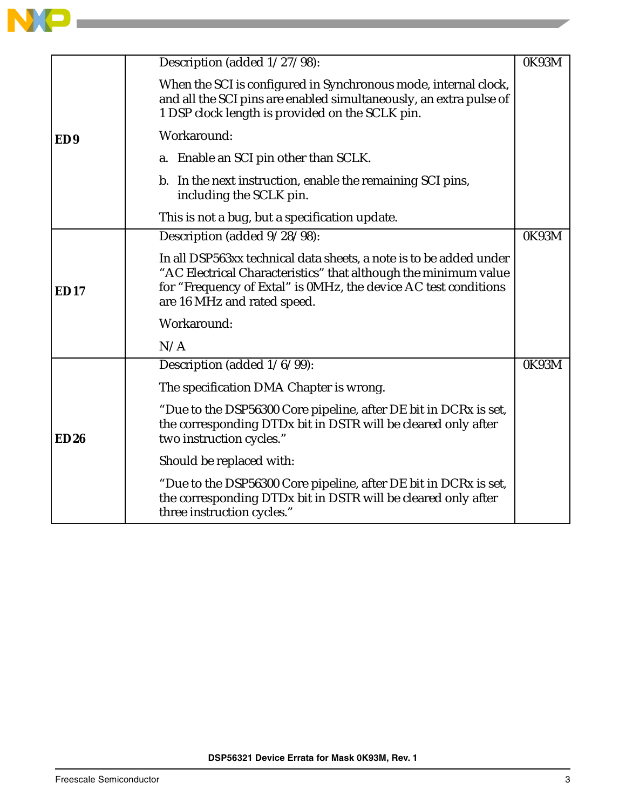

|                 | Description (added 1/27/98):                                                                                                                                                                                                            | 0K93M |
|-----------------|-----------------------------------------------------------------------------------------------------------------------------------------------------------------------------------------------------------------------------------------|-------|
|                 | When the SCI is configured in Synchronous mode, internal clock,<br>and all the SCI pins are enabled simultaneously, an extra pulse of<br>1 DSP clock length is provided on the SCLK pin.                                                |       |
| ED <sub>9</sub> | Workaround:                                                                                                                                                                                                                             |       |
|                 | a. Enable an SCI pin other than SCLK.                                                                                                                                                                                                   |       |
|                 | b. In the next instruction, enable the remaining SCI pins,<br>including the SCLK pin.                                                                                                                                                   |       |
|                 | This is not a bug, but a specification update.                                                                                                                                                                                          |       |
|                 | Description (added 9/28/98):                                                                                                                                                                                                            | 0K93M |
| ED17            | In all DSP563xx technical data sheets, a note is to be added under<br>"AC Electrical Characteristics" that although the minimum value<br>for "Frequency of Extal" is 0MHz, the device AC test conditions<br>are 16 MHz and rated speed. |       |
|                 | Workaround:                                                                                                                                                                                                                             |       |
|                 | N/A                                                                                                                                                                                                                                     |       |
|                 | Description (added 1/6/99):                                                                                                                                                                                                             | 0K93M |
|                 | The specification DMA Chapter is wrong.                                                                                                                                                                                                 |       |
| ED26            | "Due to the DSP56300 Core pipeline, after DE bit in DCRx is set,<br>the corresponding DTDx bit in DSTR will be cleared only after<br>two instruction cycles."                                                                           |       |
|                 | Should be replaced with:                                                                                                                                                                                                                |       |
|                 | "Due to the DSP56300 Core pipeline, after DE bit in DCRx is set,<br>the corresponding DTDx bit in DSTR will be cleared only after<br>three instruction cycles."                                                                         |       |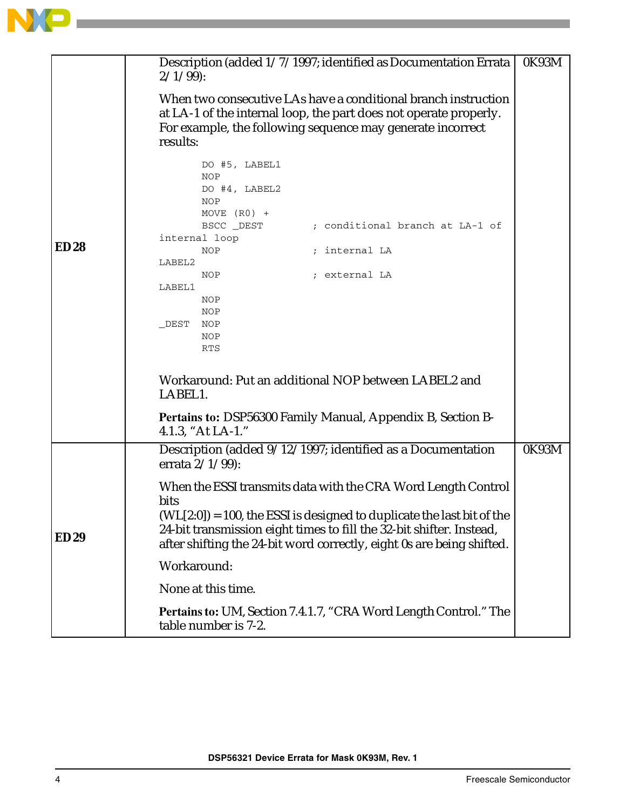

|             | Description (added 1/7/1997; identified as Documentation Errata<br>$2/1/99$ :                                                                                                                                              |       |  |  |
|-------------|----------------------------------------------------------------------------------------------------------------------------------------------------------------------------------------------------------------------------|-------|--|--|
|             | When two consecutive LAs have a conditional branch instruction<br>at LA-1 of the internal loop, the part does not operate properly.<br>For example, the following sequence may generate incorrect<br>results:              |       |  |  |
|             | DO #5, LABEL1<br><b>NOP</b><br>DO #4, LABEL2<br>NOP<br>MOVE $(R0)$ +                                                                                                                                                       |       |  |  |
|             | ; conditional branch at LA-1 of<br>BSCC _DEST<br>internal loop                                                                                                                                                             |       |  |  |
| <b>ED28</b> | ; internal LA<br>NOP<br>LABEL2                                                                                                                                                                                             |       |  |  |
|             | NOP<br>; external LA<br>LABEL1                                                                                                                                                                                             |       |  |  |
|             | NOP                                                                                                                                                                                                                        |       |  |  |
|             | NOP<br>DEST<br>NOP                                                                                                                                                                                                         |       |  |  |
|             | NOP<br>RTS                                                                                                                                                                                                                 |       |  |  |
|             |                                                                                                                                                                                                                            |       |  |  |
|             | Workaround: Put an additional NOP between LABEL2 and<br>LABEL1.                                                                                                                                                            |       |  |  |
|             | Pertains to: DSP56300 Family Manual, Appendix B, Section B-<br>4.1.3, "At LA-1."                                                                                                                                           |       |  |  |
|             | Description (added 9/12/1997; identified as a Documentation<br>errata $2/1/99$ :                                                                                                                                           | 0K93M |  |  |
| <b>ED29</b> | When the ESSI transmits data with the CRA Word Length Control<br>bits<br>$(WL[2:0]) = 100$ , the ESSI is designed to duplicate the last bit of the<br>24-bit transmission eight times to fill the 32-bit shifter. Instead, |       |  |  |
|             | after shifting the 24-bit word correctly, eight 0s are being shifted.                                                                                                                                                      |       |  |  |
|             | Workaround:                                                                                                                                                                                                                |       |  |  |
|             | None at this time.                                                                                                                                                                                                         |       |  |  |
|             | Pertains to: UM, Section 7.4.1.7, "CRA Word Length Control." The<br>table number is 7-2.                                                                                                                                   |       |  |  |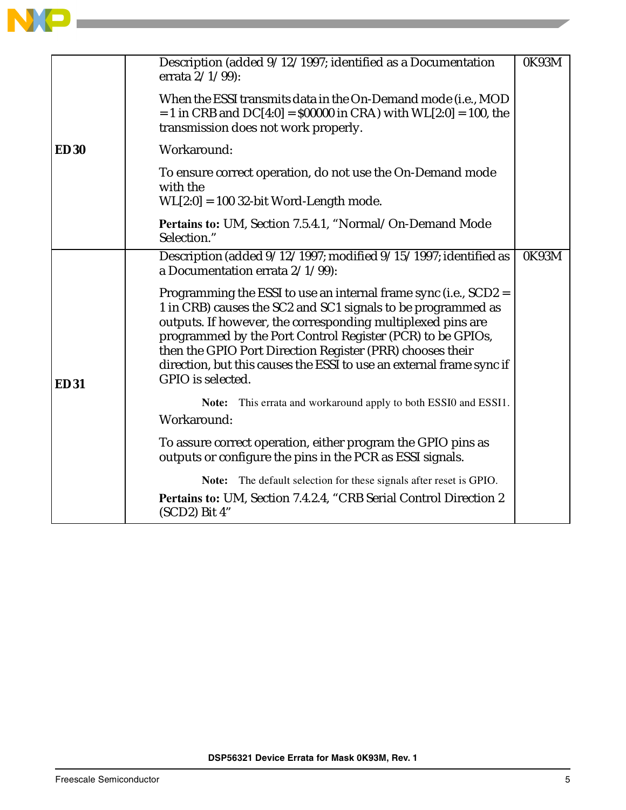|             | Description (added 9/12/1997; identified as a Documentation<br>errata 2/1/99):                                                                                                                                                                                                                                                                                                                                          | 0K93M |
|-------------|-------------------------------------------------------------------------------------------------------------------------------------------------------------------------------------------------------------------------------------------------------------------------------------------------------------------------------------------------------------------------------------------------------------------------|-------|
|             | When the ESSI transmits data in the On-Demand mode (i.e., MOD<br>$= 1$ in CRB and DC[4:0] = \$00000 in CRA) with WL[2:0] = 100, the<br>transmission does not work properly.                                                                                                                                                                                                                                             |       |
| <b>ED30</b> | Workaround:                                                                                                                                                                                                                                                                                                                                                                                                             |       |
|             | To ensure correct operation, do not use the On-Demand mode<br>with the<br>$WL[2:0] = 100$ 32-bit Word-Length mode.                                                                                                                                                                                                                                                                                                      |       |
|             | Pertains to: UM, Section 7.5.4.1, "Normal/On-Demand Mode<br>Selection."                                                                                                                                                                                                                                                                                                                                                 |       |
|             | Description (added 9/12/1997; modified 9/15/1997; identified as<br>a Documentation errata 2/1/99):                                                                                                                                                                                                                                                                                                                      | 0K93M |
| <b>ED31</b> | Programming the ESSI to use an internal frame sync (i.e., SCD2 =<br>1 in CRB) causes the SC2 and SC1 signals to be programmed as<br>outputs. If however, the corresponding multiplexed pins are<br>programmed by the Port Control Register (PCR) to be GPIOs,<br>then the GPIO Port Direction Register (PRR) chooses their<br>direction, but this causes the ESSI to use an external frame sync if<br>GPIO is selected. |       |
|             | Note: This errata and workaround apply to both ESSI0 and ESSI1.<br>Workaround:                                                                                                                                                                                                                                                                                                                                          |       |
|             | To assure correct operation, either program the GPIO pins as<br>outputs or configure the pins in the PCR as ESSI signals.                                                                                                                                                                                                                                                                                               |       |
|             | Note: The default selection for these signals after reset is GPIO.                                                                                                                                                                                                                                                                                                                                                      |       |
|             | Pertains to: UM, Section 7.4.2.4, "CRB Serial Control Direction 2<br>(SCD2) Bit 4"                                                                                                                                                                                                                                                                                                                                      |       |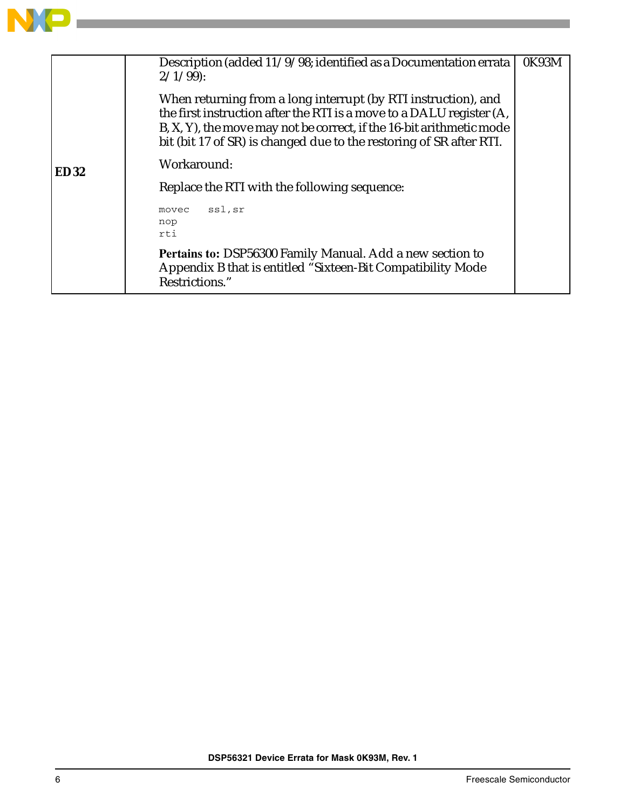

|             | Description (added 11/9/98; identified as a Documentation errata<br>$2/1/99$ :<br>When returning from a long interrupt (by RTI instruction), and<br>the first instruction after the RTI is a move to a DALU register (A,<br>B, X, Y), the move may not be correct, if the 16-bit arithmetic mode<br>bit (bit 17 of SR) is changed due to the restoring of SR after RTI. | 0K93M |
|-------------|-------------------------------------------------------------------------------------------------------------------------------------------------------------------------------------------------------------------------------------------------------------------------------------------------------------------------------------------------------------------------|-------|
| <b>ED32</b> | Workaround:                                                                                                                                                                                                                                                                                                                                                             |       |
|             | Replace the RTI with the following sequence:                                                                                                                                                                                                                                                                                                                            |       |
|             | ssl,sr<br>movec<br>nop<br>rti                                                                                                                                                                                                                                                                                                                                           |       |
|             | Pertains to: DSP56300 Family Manual. Add a new section to<br>Appendix B that is entitled "Sixteen-Bit Compatibility Mode<br>Restrictions."                                                                                                                                                                                                                              |       |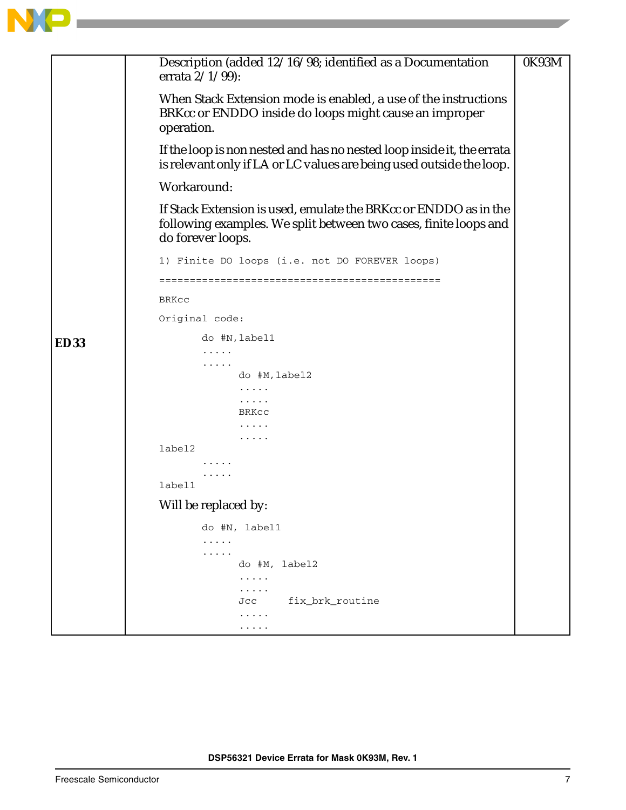

|             | Description (added 12/16/98; identified as a Documentation                                                                                                | 0K93M |
|-------------|-----------------------------------------------------------------------------------------------------------------------------------------------------------|-------|
|             | errata $2/1/99$ :                                                                                                                                         |       |
|             | When Stack Extension mode is enabled, a use of the instructions<br>BRKcc or ENDDO inside do loops might cause an improper<br>operation.                   |       |
|             | If the loop is non nested and has no nested loop inside it, the errata<br>is relevant only if LA or LC values are being used outside the loop.            |       |
|             | Workaround:                                                                                                                                               |       |
|             | If Stack Extension is used, emulate the BRKcc or ENDDO as in the<br>following examples. We split between two cases, finite loops and<br>do forever loops. |       |
|             | 1) Finite DO loops (i.e. not DO FOREVER loops)                                                                                                            |       |
|             |                                                                                                                                                           |       |
|             | BRKcc                                                                                                                                                     |       |
|             | Original code:                                                                                                                                            |       |
| <b>ED33</b> | do #N, label1                                                                                                                                             |       |
|             | .<br>.                                                                                                                                                    |       |
|             | do #M, label2                                                                                                                                             |       |
|             | .                                                                                                                                                         |       |
|             | .<br>BRKCC                                                                                                                                                |       |
|             |                                                                                                                                                           |       |
|             |                                                                                                                                                           |       |
|             | label2                                                                                                                                                    |       |
|             |                                                                                                                                                           |       |
|             | label1                                                                                                                                                    |       |
|             | Will be replaced by:                                                                                                                                      |       |
|             | do #N, label1                                                                                                                                             |       |
|             | .                                                                                                                                                         |       |
|             | .<br>do #M, label2                                                                                                                                        |       |
|             | .                                                                                                                                                         |       |
|             | .                                                                                                                                                         |       |
|             | fix_brk_routine<br>Jcc<br>.                                                                                                                               |       |
|             | .                                                                                                                                                         |       |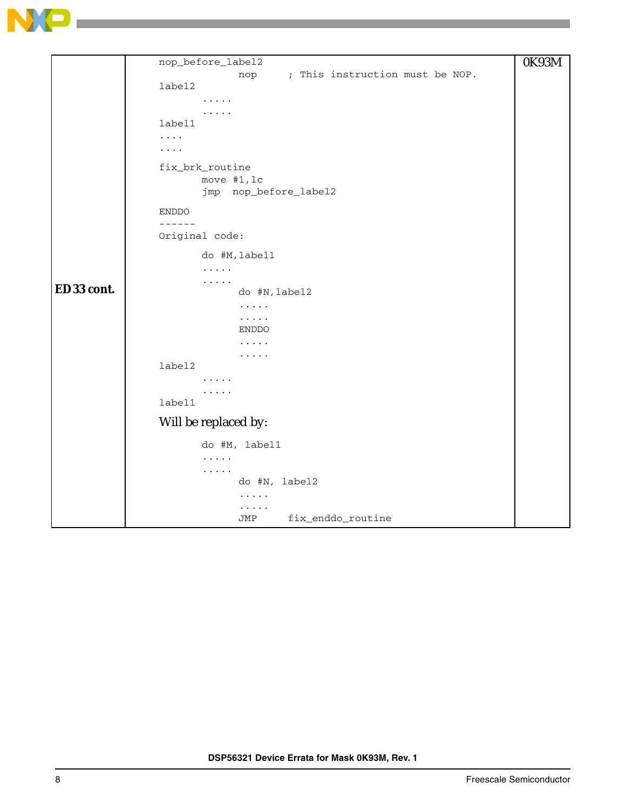

```
ED33 cont.
     nop_before_label2
                  nop ; This instruction must be NOP.
     label2
            .....
            .....
     label1
     ....
     ....
     fix_brk_routine
            move #1,lc
            jmp nop_before_label2
     ENDDO
     ------
     Original code:
            do #M,label1
            .....
            .....
                  do #N,label2
                  .....
                  .....
                  ENDDO
                  .....
                  .....
     label2
            .....
            .....
     label1
     Will be replaced by:
            do #M, label1
            .....
            .....
                  do #N, label2
                  .....
                   .....
                  JMP fix_enddo_routine
                                                                  0K93M
```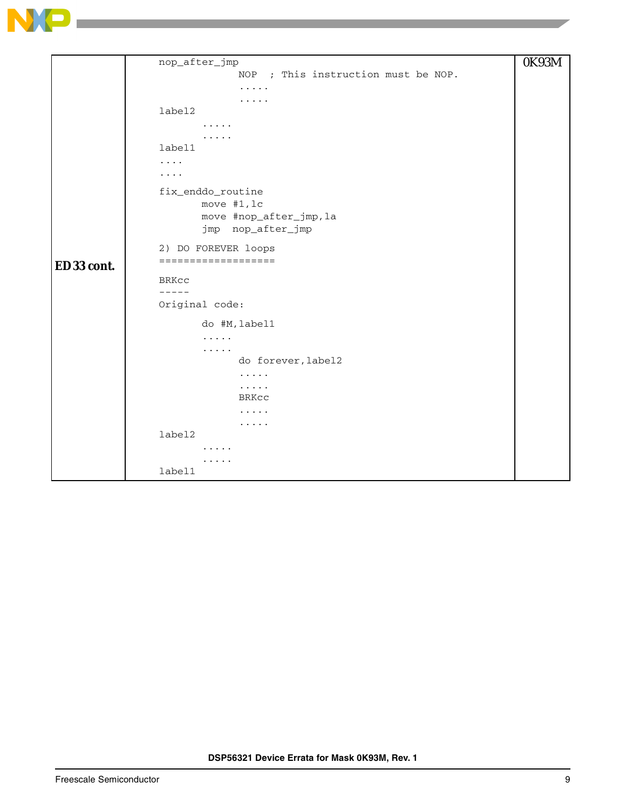

```
ED33 cont.
     nop_after_jmp
                   NOP ; This instruction must be NOP.
                   .....
                   .....
     label2
            .....
            .....
     label1
     ....
     ....
     fix_enddo_routine
            move #1,lc
            move #nop_after_jmp,la
            jmp nop_after_jmp
     2) DO FOREVER loops
     ===================
     BRKcc
     -----
     Original code:
            do #M,label1
             .....
             .....
                   do forever,label2
                   .....
                   .....
                  BRKcc
                   .....
                   .....
     label2
             .....
            .....
     label1
                                                                   0K93M
```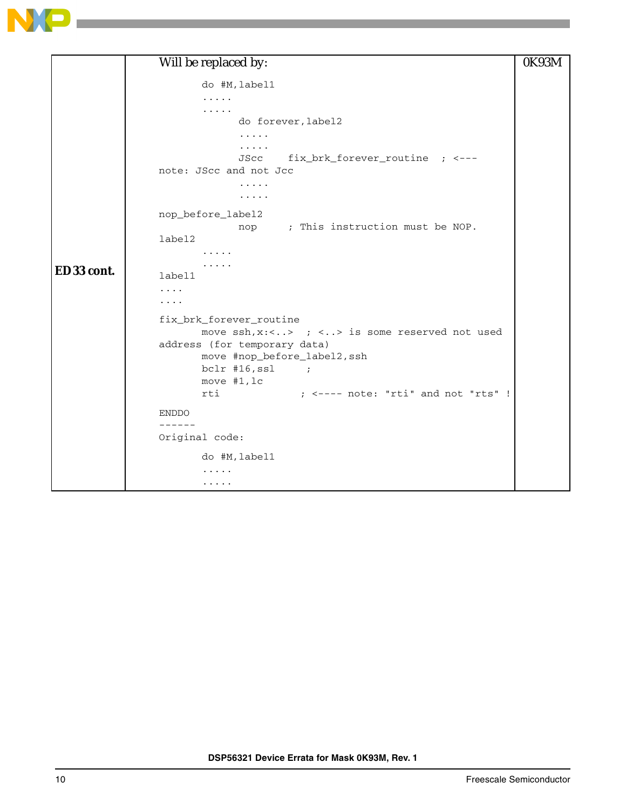

|            | Will be replaced by:                                            | 0K93M |
|------------|-----------------------------------------------------------------|-------|
|            | do #M, label1                                                   |       |
|            | .                                                               |       |
|            | .                                                               |       |
|            | do forever, label2                                              |       |
|            | .<br>.                                                          |       |
|            | fix_brk_forever_routine ; <---<br>JScc                          |       |
|            | note: JScc and not Jcc                                          |       |
|            | .<br>.                                                          |       |
|            | nop_before_label2<br>nop ; This instruction must be NOP.        |       |
|            | label2                                                          |       |
|            | .                                                               |       |
| ED33 cont. | .<br>label1                                                     |       |
|            | .                                                               |       |
|            | .                                                               |       |
|            | fix_brk_forever_routine                                         |       |
|            | move $\operatorname{ssh}$ , x:<> ; <> is some reserved not used |       |
|            | address (for temporary data)                                    |       |
|            | move #nop_before_label2, ssh<br>$bc1r$ #16, ssl ;               |       |
|            | move #1, lc                                                     |       |
|            | $:$ $\leq$ ---- note: "rti" and not "rts" !<br>rti              |       |
|            | <b>ENDDO</b>                                                    |       |
|            | ------                                                          |       |
|            | Original code:                                                  |       |
|            | do #M, label1                                                   |       |
|            | .                                                               |       |
|            | .                                                               |       |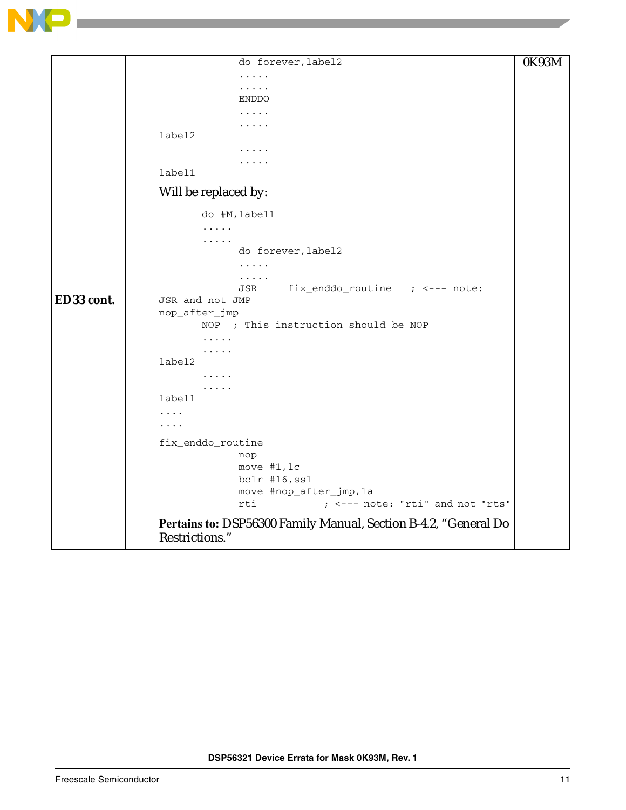

|            | do forever, label2                                              | 0K93M |
|------------|-----------------------------------------------------------------|-------|
|            | .                                                               |       |
|            | .                                                               |       |
|            | <b>ENDDO</b>                                                    |       |
|            | .<br>.                                                          |       |
|            | label2                                                          |       |
|            |                                                                 |       |
|            |                                                                 |       |
|            | label1                                                          |       |
|            | Will be replaced by:                                            |       |
|            | do #M, label1                                                   |       |
|            | .                                                               |       |
|            | .                                                               |       |
|            | do forever, label2<br>.                                         |       |
|            | .                                                               |       |
|            | fix_enddo_routine ; <--- note:<br>JSR                           |       |
| ED33 cont. | JSR and not JMP                                                 |       |
|            | nop_after_jmp                                                   |       |
|            | ; This instruction should be NOP<br>NOP                         |       |
|            | .                                                               |       |
|            | label2                                                          |       |
|            | .                                                               |       |
|            | .                                                               |       |
|            | label1                                                          |       |
|            | .<br>$\cdots$                                                   |       |
|            |                                                                 |       |
|            | fix_enddo_routine                                               |       |
|            | nop<br>move #1, lc                                              |       |
|            | bclr #16, ssl                                                   |       |
|            | move #nop_after_jmp, la                                         |       |
|            | ; <--- note: "rti" and not "rts"<br>rti                         |       |
|            | Pertains to: DSP56300 Family Manual, Section B-4.2, "General Do |       |
|            | Restrictions."                                                  |       |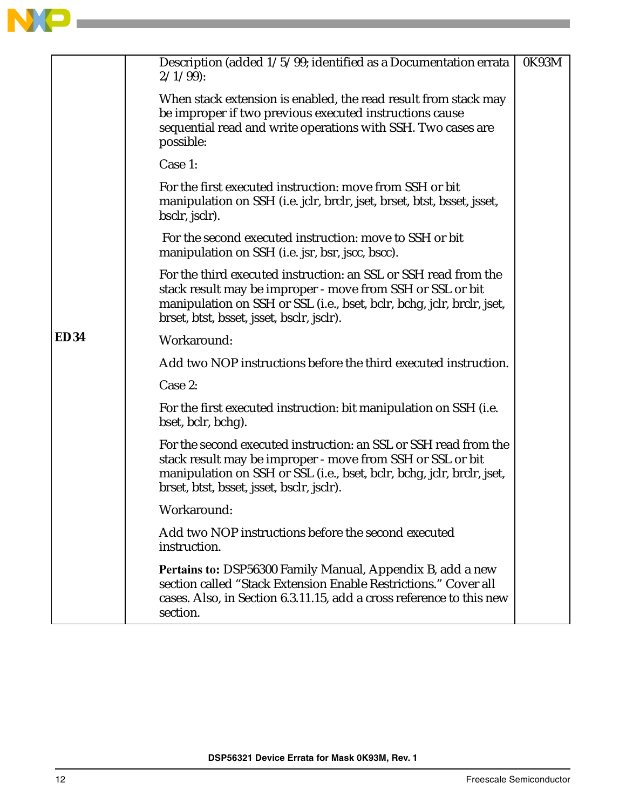

|             | Description (added 1/5/99; identified as a Documentation errata<br>$2/1/99$ :                                                                                                                                                                         | 0K93M |
|-------------|-------------------------------------------------------------------------------------------------------------------------------------------------------------------------------------------------------------------------------------------------------|-------|
|             | When stack extension is enabled, the read result from stack may<br>be improper if two previous executed instructions cause<br>sequential read and write operations with SSH. Two cases are<br>possible:                                               |       |
|             | Case 1:                                                                                                                                                                                                                                               |       |
|             | For the first executed instruction: move from SSH or bit<br>manipulation on SSH (i.e. jclr, brclr, jset, brset, btst, bsset, jsset,<br>bsclr, jsclr).                                                                                                 |       |
|             | For the second executed instruction: move to SSH or bit<br>manipulation on SSH (i.e. jsr, bsr, jscc, bscc).                                                                                                                                           |       |
|             | For the third executed instruction: an SSL or SSH read from the<br>stack result may be improper - move from SSH or SSL or bit<br>manipulation on SSH or SSL (i.e., bset, bclr, bchg, jclr, brclr, jset,<br>brset, btst, bsset, jsset, bsclr, jsclr).  |       |
| <b>ED34</b> | Workaround:                                                                                                                                                                                                                                           |       |
|             | Add two NOP instructions before the third executed instruction.                                                                                                                                                                                       |       |
|             | Case 2:                                                                                                                                                                                                                                               |       |
|             | For the first executed instruction: bit manipulation on SSH (i.e.<br>bset, bclr, bchg).                                                                                                                                                               |       |
|             | For the second executed instruction: an SSL or SSH read from the<br>stack result may be improper - move from SSH or SSL or bit<br>manipulation on SSH or SSL (i.e., bset, bclr, bchg, jclr, brclr, jset,<br>brset, btst, bsset, jsset, bsclr, jsclr). |       |
|             | Workaround:                                                                                                                                                                                                                                           |       |
|             | Add two NOP instructions before the second executed<br>instruction.                                                                                                                                                                                   |       |
|             | Pertains to: DSP56300 Family Manual, Appendix B, add a new<br>section called "Stack Extension Enable Restrictions." Cover all<br>cases. Also, in Section 6.3.11.15, add a cross reference to this new<br>section.                                     |       |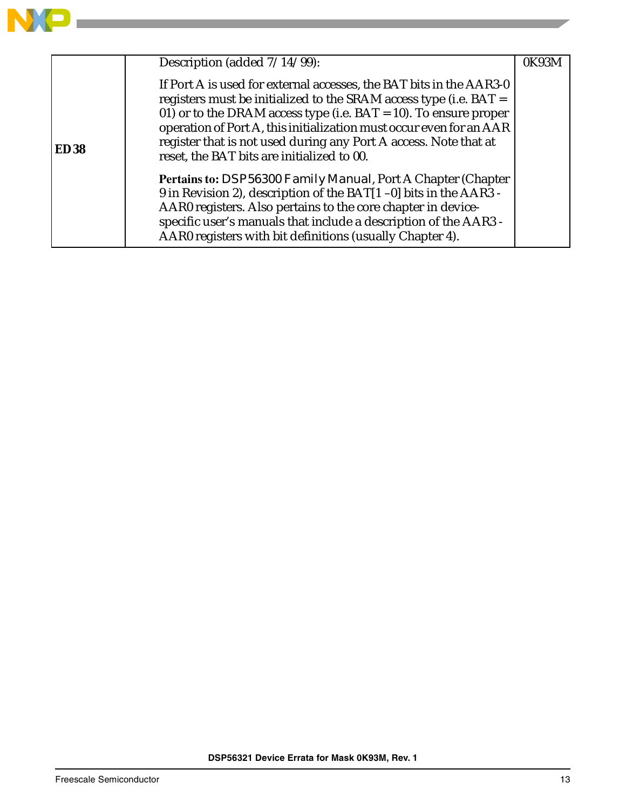

|             | Description (added $7/14\overline{799}$ ):                                                                                                                                                                                                                                                                                                                                                                 | 0K93M |
|-------------|------------------------------------------------------------------------------------------------------------------------------------------------------------------------------------------------------------------------------------------------------------------------------------------------------------------------------------------------------------------------------------------------------------|-------|
| <b>ED38</b> | If Port A is used for external accesses, the BAT bits in the AAR3-0<br>registers must be initialized to the SRAM access type (i.e. $BAT =$<br>01) or to the DRAM access type (i.e. $BAT = 10$ ). To ensure proper<br>operation of Port A, this initialization must occur even for an AAR<br>register that is not used during any Port A access. Note that at<br>reset, the BAT bits are initialized to 00. |       |
|             | <b>Pertains to: DSP56300 Family Manual, Port A Chapter (Chapter)</b><br>9 in Revision 2), description of the BAT[1-0] bits in the AAR3 -<br>AAR0 registers. Also pertains to the core chapter in device-<br>specific user's manuals that include a description of the AAR3 -<br>AAR0 registers with bit definitions (usually Chapter 4).                                                                   |       |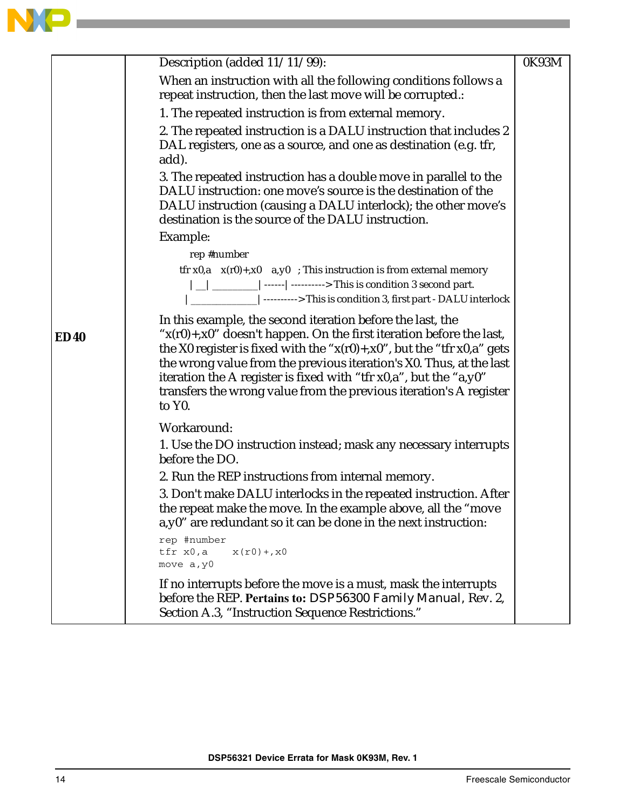

**Contract** 

|             | Description (added 11/11/99):                                                                                                                                                                                                                                                                                                                                                                                                                                        | 0K93M |
|-------------|----------------------------------------------------------------------------------------------------------------------------------------------------------------------------------------------------------------------------------------------------------------------------------------------------------------------------------------------------------------------------------------------------------------------------------------------------------------------|-------|
|             | When an instruction with all the following conditions follows a<br>repeat instruction, then the last move will be corrupted.:                                                                                                                                                                                                                                                                                                                                        |       |
|             | 1. The repeated instruction is from external memory.                                                                                                                                                                                                                                                                                                                                                                                                                 |       |
|             | 2. The repeated instruction is a DALU instruction that includes 2<br>DAL registers, one as a source, and one as destination (e.g. tfr,<br>add).                                                                                                                                                                                                                                                                                                                      |       |
|             | 3. The repeated instruction has a double move in parallel to the<br>DALU instruction: one move's source is the destination of the<br>DALU instruction (causing a DALU interlock); the other move's<br>destination is the source of the DALU instruction.                                                                                                                                                                                                             |       |
|             | Example:                                                                                                                                                                                                                                                                                                                                                                                                                                                             |       |
|             | rep #number                                                                                                                                                                                                                                                                                                                                                                                                                                                          |       |
|             | tfr x0,a $x(r0)$ +,x0 a,y0 ; This instruction is from external memory<br> __ __________ ------ ----------> This is condition 3 second part.                                                                                                                                                                                                                                                                                                                          |       |
| <b>ED40</b> | In this example, the second iteration before the last, the<br>" $x(r0)$ +, $x0$ " doesn't happen. On the first iteration before the last,<br>the X0 register is fixed with the " $x(r0) + x0$ ", but the "tfr $x0$ ,a" gets<br>the wrong value from the previous iteration's X0. Thus, at the last<br>iteration the A register is fixed with "tfr x0,a", but the "a,y0"<br>transfers the wrong value from the previous iteration's A register<br>to Y <sub>0</sub> . |       |
|             | Workaround:                                                                                                                                                                                                                                                                                                                                                                                                                                                          |       |
|             | 1. Use the DO instruction instead; mask any necessary interrupts<br>before the DO.                                                                                                                                                                                                                                                                                                                                                                                   |       |
|             | 2. Run the REP instructions from internal memory.                                                                                                                                                                                                                                                                                                                                                                                                                    |       |
|             | 3. Don't make DALU interlocks in the repeated instruction. After<br>the repeat make the move. In the example above, all the "move<br>a, y0" are redundant so it can be done in the next instruction:                                                                                                                                                                                                                                                                 |       |
|             | rep #number<br>tfr x0,a<br>$x(r0) + x0$<br>move a, y0                                                                                                                                                                                                                                                                                                                                                                                                                |       |
|             | If no interrupts before the move is a must, mask the interrupts<br>before the REP. Pertains to: DSP56300 Family Manual, Rev. 2,<br>Section A.3, "Instruction Sequence Restrictions."                                                                                                                                                                                                                                                                                 |       |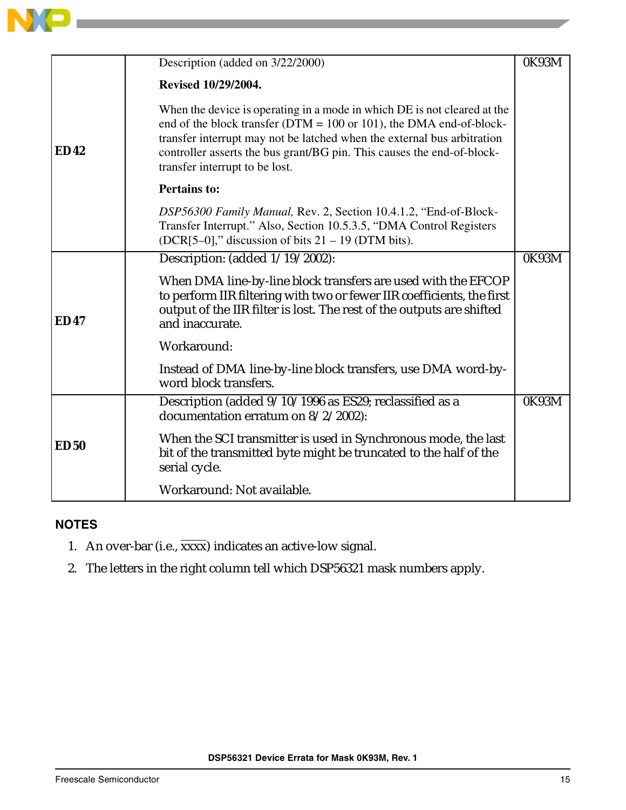

|             | Description (added on 3/22/2000)                                                                                                                                                                                                                                                                                                          | 0K93M |
|-------------|-------------------------------------------------------------------------------------------------------------------------------------------------------------------------------------------------------------------------------------------------------------------------------------------------------------------------------------------|-------|
| <b>ED42</b> | Revised 10/29/2004.                                                                                                                                                                                                                                                                                                                       |       |
|             | When the device is operating in a mode in which DE is not cleared at the<br>end of the block transfer ( $DTM = 100$ or 101), the DMA end-of-block-<br>transfer interrupt may not be latched when the external bus arbitration<br>controller asserts the bus grant/BG pin. This causes the end-of-block-<br>transfer interrupt to be lost. |       |
|             | <b>Pertains to:</b>                                                                                                                                                                                                                                                                                                                       |       |
|             | DSP56300 Family Manual, Rev. 2, Section 10.4.1.2, "End-of-Block-<br>Transfer Interrupt." Also, Section 10.5.3.5, "DMA Control Registers<br>$(DCR[5-0],$ " discussion of bits 21 – 19 (DTM bits).                                                                                                                                          |       |
| <b>ED47</b> | Description: (added 1/19/2002):                                                                                                                                                                                                                                                                                                           | 0K93M |
|             | When DMA line-by-line block transfers are used with the EFCOP<br>to perform IIR filtering with two or fewer IIR coefficients, the first<br>output of the IIR filter is lost. The rest of the outputs are shifted<br>and inaccurate.                                                                                                       |       |
|             | Workaround:                                                                                                                                                                                                                                                                                                                               |       |
|             | Instead of DMA line-by-line block transfers, use DMA word-by-<br>word block transfers.                                                                                                                                                                                                                                                    |       |
| <b>ED50</b> | Description (added 9/10/1996 as ES29; reclassified as a<br>documentation erratum on 8/2/2002):                                                                                                                                                                                                                                            | 0K93M |
|             | When the SCI transmitter is used in Synchronous mode, the last<br>bit of the transmitted byte might be truncated to the half of the<br>serial cycle.                                                                                                                                                                                      |       |
|             | Workaround: Not available.                                                                                                                                                                                                                                                                                                                |       |

## **NOTES**

- 1. An over-bar (i.e., xxxx) indicates an active-low signal.
- 2. The letters in the right column tell which DSP56321 mask numbers apply.